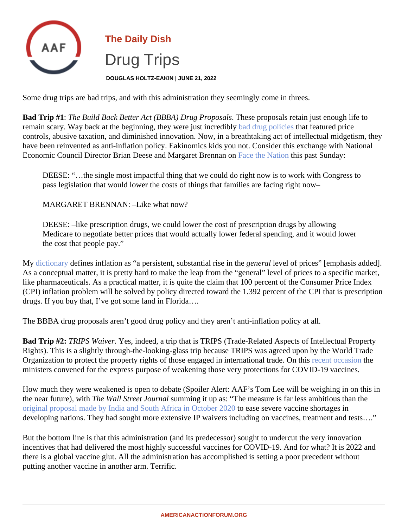## The Daily Dish Drug Trips

DOUGLAS HOLTZ-EAKIN | JUNE 21, 2022

Some drug trips are bad trips, and with this administration they seemingly come in threes.

Bad Trip #1: The Build Back Better Act (BBBA) Drug Proposalbese proposals retain just enough life to remainscary. Way back at the beginning, they were just incredibly drug policies that featured price controls, abusive taxation, and diminished innovation. Now, in a breathtaking act of intellectual midgetism, the have been reinvented as anti-inflation policy. Eakinomics kids you not. Consider this exchange with National EconomicCouncil Director Brian Deese and Margaret Brennaraon the Natiothis past Sunday:

DEESE: "…the single most impactful thing that we could do right now is to work with Congress to pass legislation that would lower the costs of things that families are facing right now–

MARGARET BRENNAN: –Like what now?

DEESE: –like prescription drugs, we could lower the cost of prescription drugs by allowing Medicare to negotiate better prices that would actually lower federal spending, and it would lower the cost that people pay."

My [dictionary](�� h t t p s : / / w w w . d i c t i o n a r y . c o m / b r o w s e / i n f l a t i o n) defines inflation as "a persistent, substantial rise im the rallevel of prices" [emphasis added]. As a conceptual matter, it is pretty hard to make the leap from the "general" level of prices to a specific marke like pharmaceuticals. As a practical matter, it is quite the claim that 100 percent of the Consumer Price Index (CPI) inflation problem will be solved by policy directed toward the 1.392 percent of the CPI that is prescriptio drugs. If you buy that, I've got some land in Florida….

The BBBA drug proposals aren't good drug policy and they aren't anti-inflation policy at all.

Bad Trip #2: TRIPS WaiverYes, indeed, a trip that is TRIPS (Trade-Related Aspects of Intellectual Property Rights). This is a slightly through-the-looking-glass trip because TRIPS was agreed upon by the World Trade Organizationto protect the property rights of those engaged in international trade. On this coasiothe ministers convened for the express purpose of weakening those very protections for COVID-19 vaccines.

How much they were weakened is open to debate (Spoiler Alert: AAF's Tom Lee will be weighing in on this in the near future), with The Wall Street Journal umming it up as: "The measure is far less ambitious than the [original proposal made by India and South Africa in October](�� h t t p s : / / w w w . w s j . c o m / a r t i c l e s / d e v e l o p i n g - n a t i o n s - p u s h - f o r - c o v i d - v a c c i n e s - w i t h o u t - t h e - p a t e n t s - 1 1 6 0 5 6 1 4 4 0 9 ? m o d = a r t i c l e _ i n l i n e) 2020ase severe vaccine shortages in developing nations. They had sought more extensive IP waivers including on vaccines, treatment and tests...

But the bottom line is that this administration (and its predecessor) sought to undercut the very innovation incentives that had delivered the most highly successful vaccines for COVID-19. And for what? It is 2022 and there is a global vaccine glut. All the administration has accomplished is setting a poor precedent without putting another vaccine in another arm. Terrific.